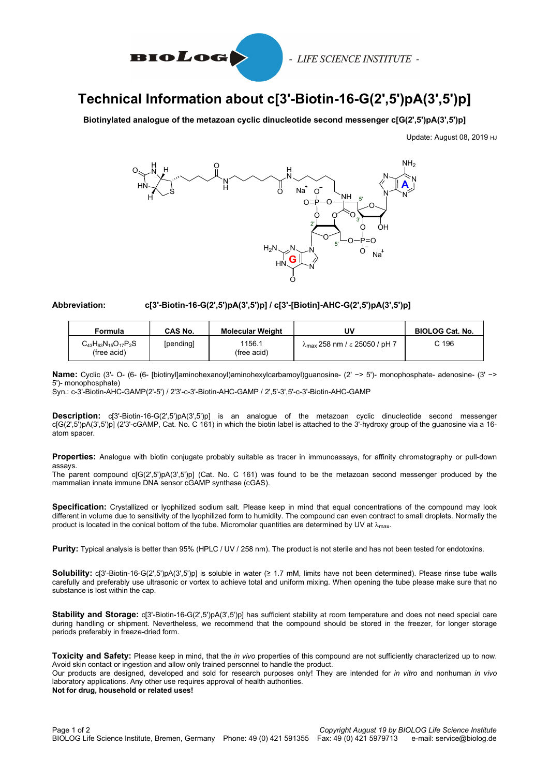

## Technical Information about c[3'-Biotin-16-G(2',5')pA(3',5')p]

Biotinylated analogue of the metazoan cyclic dinucleotide second messenger c[G(2',5')pA(3',5')p]

Update: August 08, 2019 HJ



## Abbreviation: c[3'-Biotin-16-G(2',5')pA(3',5')p] / c[3'-[Biotin]-AHC-G(2',5')pA(3',5')p]

| Formula                                       | <b>CAS No.</b> | <b>Molecular Weight</b> | U٧                                          | <b>BIOLOG Cat. No.</b> |
|-----------------------------------------------|----------------|-------------------------|---------------------------------------------|------------------------|
| $C_{43}H_{63}N_{15}O_{17}P_2S$<br>(free acid) | [pending]      | 1156.1<br>(free acid)   | $\lambda_{\rm max}$ 258 nm / ε 25050 / pH 7 | C 196                  |

Name: Cyclic (3'- O- (6- [6- [biotinyl]aminohexanoyl)aminohexylcarbamoyl)guanosine- (2' −> 5')- monophosphate- adenosine- (3' −> 5')- monophosphate)

Syn.: c-3'-Biotin-AHC-GAMP(2'-5') / 2'3'-c-3'-Biotin-AHC-GAMP / 2',5'-3',5'-c-3'-Biotin-AHC-GAMP

Description: c[3'-Biotin-16-G(2',5')pA(3',5')p] is an analogue of the metazoan cyclic dinucleotide second messenger c[G(2',5')pA(3',5')p] (2'3'-cGAMP, Cat. No. C 161) in which the biotin label is attached to the 3'-hydroxy group of the guanosine via a 16 atom spacer

Properties: Analogue with biotin conjugate probably suitable as tracer in immunoassays, for affinity chromatography or pull-down assays.

The parent compound c[G(2',5')pA(3',5')p] (Cat. No. C 161) was found to be the metazoan second messenger produced by the mammalian innate immune DNA sensor cGAMP synthase (cGAS).

Specification: Crystallized or lyophilized sodium salt. Please keep in mind that equal concentrations of the compound may look different in volume due to sensitivity of the lyophilized form to humidity. The compound can even contract to small droplets. Normally the product is located in the conical bottom of the tube. Micromolar quantities are determined by UV at  $\lambda_{\text{max}}$ .

Purity: Typical analysis is better than 95% (HPLC / UV / 258 nm). The product is not sterile and has not been tested for endotoxins.

Solubility: c[3'-Biotin-16-G(2',5')pA(3',5')p] is soluble in water (≥ 1.7 mM, limits have not been determined). Please rinse tube walls carefully and preferably use ultrasonic or vortex to achieve total and uniform mixing. When opening the tube please make sure that no substance is lost within the cap.

Stability and Storage: c[3'-Biotin-16-G(2',5')pA(3',5')p] has sufficient stability at room temperature and does not need special care during handling or shipment. Nevertheless, we recommend that the compound should be stored in the freezer, for longer storage periods preferably in freeze-dried form.

Toxicity and Safety: Please keep in mind, that the in vivo properties of this compound are not sufficiently characterized up to now. Avoid skin contact or ingestion and allow only trained personnel to handle the product.

Our products are designed, developed and sold for research purposes only! They are intended for in vitro and nonhuman in vivo laboratory applications. Any other use requires approval of health authorities. Not for drug, household or related uses!